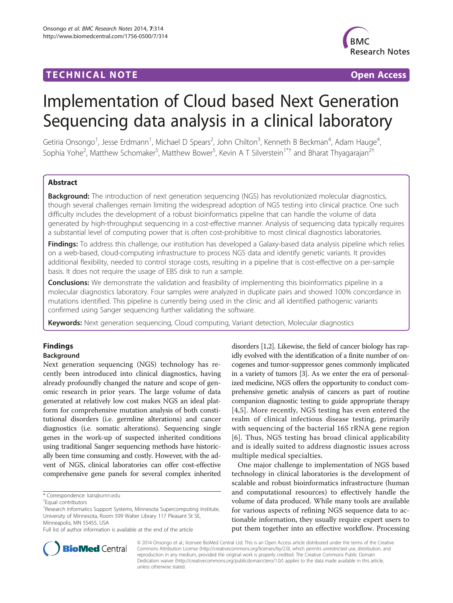## **TECHNICAL NOTE TECHNICAL NOTE**



# Implementation of Cloud based Next Generation Sequencing data analysis in a clinical laboratory

Getiria Onsongo<sup>1</sup>, Jesse Erdmann<sup>1</sup>, Michael D Spears<sup>2</sup>, John Chilton<sup>3</sup>, Kenneth B Beckman<sup>4</sup>, Adam Hauge<sup>4</sup> , Sophia Yohe<sup>2</sup>, Matthew Schomaker<sup>5</sup>, Matthew Bower<sup>5</sup>, Kevin A T Silverstein<sup>1\*†</sup> and Bharat Thyagarajan<sup>2†</sup>

## Abstract

**Background:** The introduction of next generation sequencing (NGS) has revolutionized molecular diagnostics, though several challenges remain limiting the widespread adoption of NGS testing into clinical practice. One such difficulty includes the development of a robust bioinformatics pipeline that can handle the volume of data generated by high-throughput sequencing in a cost-effective manner. Analysis of sequencing data typically requires a substantial level of computing power that is often cost-prohibitive to most clinical diagnostics laboratories.

Findings: To address this challenge, our institution has developed a Galaxy-based data analysis pipeline which relies on a web-based, cloud-computing infrastructure to process NGS data and identify genetic variants. It provides additional flexibility, needed to control storage costs, resulting in a pipeline that is cost-effective on a per-sample basis. It does not require the usage of EBS disk to run a sample.

**Conclusions:** We demonstrate the validation and feasibility of implementing this bioinformatics pipeline in a molecular diagnostics laboratory. Four samples were analyzed in duplicate pairs and showed 100% concordance in mutations identified. This pipeline is currently being used in the clinic and all identified pathogenic variants confirmed using Sanger sequencing further validating the software.

**Keywords:** Next generation sequencing, Cloud computing, Variant detection, Molecular diagnostics

## Findings

#### Background

Next generation sequencing (NGS) technology has recently been introduced into clinical diagnostics, having already profoundly changed the nature and scope of genomic research in prior years. The large volume of data generated at relatively low cost makes NGS an ideal platform for comprehensive mutation analysis of both constitutional disorders (i.e. germline alterations) and cancer diagnostics (i.e. somatic alterations). Sequencing single genes in the work-up of suspected inherited conditions using traditional Sanger sequencing methods have historically been time consuming and costly. However, with the advent of NGS, clinical laboratories can offer cost-effective comprehensive gene panels for several complex inherited

disorders [\[1,2](#page-5-0)]. Likewise, the field of cancer biology has rapidly evolved with the identification of a finite number of oncogenes and tumor-suppressor genes commonly implicated in a variety of tumors [[3](#page-5-0)]. As we enter the era of personalized medicine, NGS offers the opportunity to conduct comprehensive genetic analysis of cancers as part of routine companion diagnostic testing to guide appropriate therapy [[4,5\]](#page-5-0). More recently, NGS testing has even entered the realm of clinical infectious disease testing, primarily with sequencing of the bacterial 16S rRNA gene region [[6](#page-5-0)]. Thus, NGS testing has broad clinical applicability and is ideally suited to address diagnostic issues across multiple medical specialties.

One major challenge to implementation of NGS based technology in clinical laboratories is the development of scalable and robust bioinformatics infrastructure (human and computational resources) to effectively handle the volume of data produced. While many tools are available for various aspects of refining NGS sequence data to actionable information, they usually require expert users to put them together into an effective workflow. Processing



© 2014 Onsongo et al.; licensee BioMed Central Ltd. This is an Open Access article distributed under the terms of the Creative Commons Attribution License [\(http://creativecommons.org/licenses/by/2.0\)](http://creativecommons.org/licenses/by/2.0), which permits unrestricted use, distribution, and reproduction in any medium, provided the original work is properly credited. The Creative Commons Public Domain Dedication waiver [\(http://creativecommons.org/publicdomain/zero/1.0/](http://creativecommons.org/publicdomain/zero/1.0/)) applies to the data made available in this article, unless otherwise stated.

<sup>\*</sup> Correspondence: [kats@umn.edu](mailto:kats@umn.edu) †

Equal contributors

<sup>&</sup>lt;sup>1</sup>Research Informatics Support Systems, Minnesota Supercomputing Institute, University of Minnesota, Room 599 Walter Library 117 Pleasant St SE, Minneapolis, MN 55455, USA

Full list of author information is available at the end of the article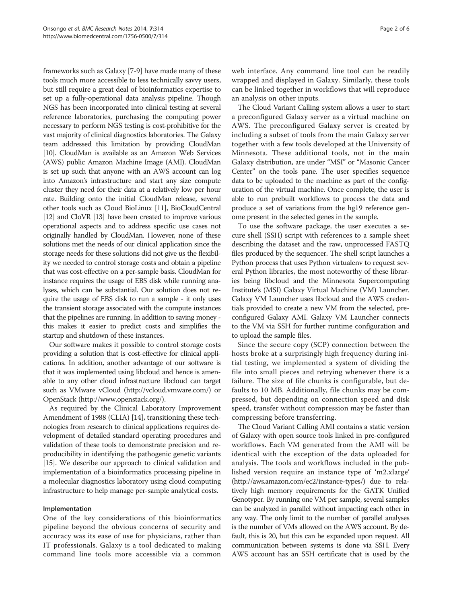frameworks such as Galaxy [\[7-9](#page-5-0)] have made many of these tools much more accessible to less technically savvy users, but still require a great deal of bioinformatics expertise to set up a fully-operational data analysis pipeline. Though NGS has been incorporated into clinical testing at several reference laboratories, purchasing the computing power necessary to perform NGS testing is cost-prohibitive for the vast majority of clinical diagnostics laboratories. The Galaxy team addressed this limitation by providing CloudMan [[10](#page-5-0)]. CloudMan is available as an Amazon Web Services (AWS) public Amazon Machine Image (AMI). CloudMan is set up such that anyone with an AWS account can log into Amazon's infrastructure and start any size compute cluster they need for their data at a relatively low per hour rate. Building onto the initial CloudMan release, several other tools such as Cloud BioLinux [[11](#page-5-0)], BioCloudCentral [[12](#page-5-0)] and CloVR [\[13\]](#page-5-0) have been created to improve various operational aspects and to address specific use cases not originally handled by CloudMan. However, none of these solutions met the needs of our clinical application since the storage needs for these solutions did not give us the flexibility we needed to control storage costs and obtain a pipeline that was cost-effective on a per-sample basis. CloudMan for instance requires the usage of EBS disk while running analyses, which can be substantial. Our solution does not require the usage of EBS disk to run a sample - it only uses the transient storage associated with the compute instances that the pipelines are running. In addition to saving money this makes it easier to predict costs and simplifies the startup and shutdown of these instances.

Our software makes it possible to control storage costs providing a solution that is cost-effective for clinical applications. In addition, another advantage of our software is that it was implemented using libcloud and hence is amenable to any other cloud infrastructure libcloud can target such as VMware vCloud [\(http://vcloud.vmware.com/\)](http://vcloud.vmware.com/) or OpenStack [\(http://www.openstack.org/\)](http://www.openstack.org/).

As required by the Clinical Laboratory Improvement Amendment of 1988 (CLIA) [\[14\]](#page-5-0), transitioning these technologies from research to clinical applications requires development of detailed standard operating procedures and validation of these tools to demonstrate precision and reproducibility in identifying the pathogenic genetic variants [[15](#page-5-0)]. We describe our approach to clinical validation and implementation of a bioinformatics processing pipeline in a molecular diagnostics laboratory using cloud computing infrastructure to help manage per-sample analytical costs.

## Implementation

One of the key considerations of this bioinformatics pipeline beyond the obvious concerns of security and accuracy was its ease of use for physicians, rather than IT professionals. Galaxy is a tool dedicated to making command line tools more accessible via a common

web interface. Any command line tool can be readily wrapped and displayed in Galaxy. Similarly, these tools can be linked together in workflows that will reproduce an analysis on other inputs.

The Cloud Variant Calling system allows a user to start a preconfigured Galaxy server as a virtual machine on AWS. The preconfigured Galaxy server is created by including a subset of tools from the main Galaxy server together with a few tools developed at the University of Minnesota. These additional tools, not in the main Galaxy distribution, are under "MSI" or "Masonic Cancer Center" on the tools pane. The user specifies sequence data to be uploaded to the machine as part of the configuration of the virtual machine. Once complete, the user is able to run prebuilt workflows to process the data and produce a set of variations from the hg19 reference genome present in the selected genes in the sample.

To use the software package, the user executes a secure shell (SSH) script with references to a sample sheet describing the dataset and the raw, unprocessed FASTQ files produced by the sequencer. The shell script launches a Python process that uses Python virtualenv to request several Python libraries, the most noteworthy of these libraries being libcloud and the Minnesota Supercomputing Institute's (MSI) Galaxy Virtual Machine (VM) Launcher. Galaxy VM Launcher uses libcloud and the AWS credentials provided to create a new VM from the selected, preconfigured Galaxy AMI. Galaxy VM Launcher connects to the VM via SSH for further runtime configuration and to upload the sample files.

Since the secure copy (SCP) connection between the hosts broke at a surprisingly high frequency during initial testing, we implemented a system of dividing the file into small pieces and retrying whenever there is a failure. The size of file chunks is configurable, but defaults to 10 MB. Additionally, file chunks may be compressed, but depending on connection speed and disk speed, transfer without compression may be faster than compressing before transferring.

The Cloud Variant Calling AMI contains a static version of Galaxy with open source tools linked in pre-configured workflows. Each VM generated from the AMI will be identical with the exception of the data uploaded for analysis. The tools and workflows included in the published version require an instance type of 'm2.xlarge' ([http://aws.amazon.com/ec2/instance-types/\)](http://aws.amazon.com/ec2/instance-types/) due to relatively high memory requirements for the GATK Unified Genotyper. By running one VM per sample, several samples can be analyzed in parallel without impacting each other in any way. The only limit to the number of parallel analyses is the number of VMs allowed on the AWS account. By default, this is 20, but this can be expanded upon request. All communication between systems is done via SSH. Every AWS account has an SSH certificate that is used by the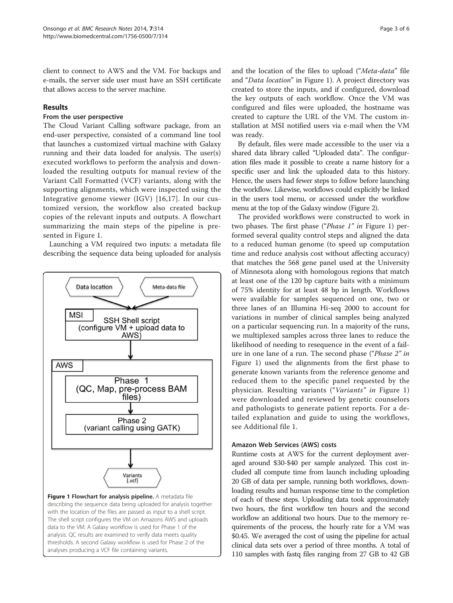client to connect to AWS and the VM. For backups and e-mails, the server side user must have an SSH certificate that allows access to the server machine.

## Results

## From the user perspective

The Cloud Variant Calling software package, from an end-user perspective, consisted of a command line tool that launches a customized virtual machine with Galaxy running and their data loaded for analysis. The user(s) executed workflows to perform the analysis and downloaded the resulting outputs for manual review of the Variant Call Formatted (VCF) variants, along with the supporting alignments, which were inspected using the Integrative genome viewer (IGV) [\[16](#page-5-0),[17\]](#page-5-0). In our customized version, the workflow also created backup copies of the relevant inputs and outputs. A flowchart summarizing the main steps of the pipeline is presented in Figure 1.

Launching a VM required two inputs: a metadata file describing the sequence data being uploaded for analysis



and the location of the files to upload ("Meta-data" file and "Data location" in Figure 1). A project directory was created to store the inputs, and if configured, download the key outputs of each workflow. Once the VM was configured and files were uploaded, the hostname was created to capture the URL of the VM. The custom installation at MSI notified users via e-mail when the VM was ready.

By default, files were made accessible to the user via a shared data library called "Uploaded data". The configuration files made it possible to create a name history for a specific user and link the uploaded data to this history. Hence, the users had fewer steps to follow before launching the workflow. Likewise, workflows could explicitly be linked in the users tool menu, or accessed under the workflow menu at the top of the Galaxy window (Figure [2](#page-3-0)).

The provided workflows were constructed to work in two phases. The first phase ("Phase 1" in Figure 1) performed several quality control steps and aligned the data to a reduced human genome (to speed up computation time and reduce analysis cost without affecting accuracy) that matches the 568 gene panel used at the University of Minnesota along with homologous regions that match at least one of the 120 bp capture baits with a minimum of 75% identity for at least 48 bp in length. Workflows were available for samples sequenced on one, two or three lanes of an Illumina Hi-seq 2000 to account for variations in number of clinical samples being analyzed on a particular sequencing run. In a majority of the runs, we multiplexed samples across three lanes to reduce the likelihood of needing to resequence in the event of a failure in one lane of a run. The second phase ("Phase 2" in Figure 1) used the alignments from the first phase to generate known variants from the reference genome and reduced them to the specific panel requested by the physician. Resulting variants ("Variants" in Figure 1) were downloaded and reviewed by genetic counselors and pathologists to generate patient reports. For a detailed explanation and guide to using the workflows, see Additional file [1](#page-4-0).

## Amazon Web Services (AWS) costs

Runtime costs at AWS for the current deployment averaged around \$30-\$40 per sample analyzed. This cost included all compute time from launch including uploading 20 GB of data per sample, running both workflows, downloading results and human response time to the completion of each of these steps. Uploading data took approximately two hours, the first workflow ten hours and the second workflow an additional two hours. Due to the memory requirements of the process, the hourly rate for a VM was \$0.45. We averaged the cost of using the pipeline for actual clinical data sets over a period of three months. A total of 110 samples with fastq files ranging from 27 GB to 42 GB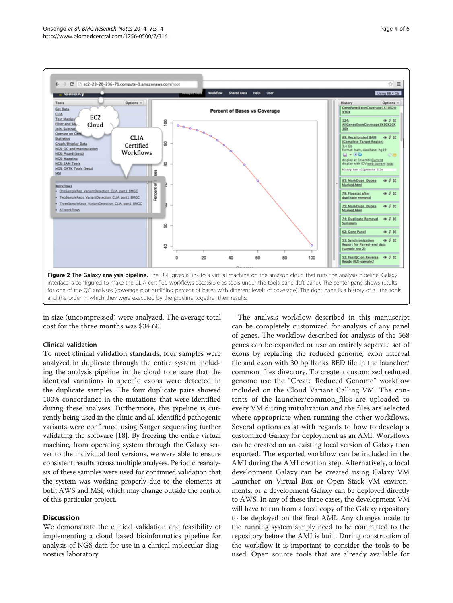<span id="page-3-0"></span>

in size (uncompressed) were analyzed. The average total cost for the three months was \$34.60.

## Clinical validation

To meet clinical validation standards, four samples were analyzed in duplicate through the entire system including the analysis pipeline in the cloud to ensure that the identical variations in specific exons were detected in the duplicate samples. The four duplicate pairs showed 100% concordance in the mutations that were identified during these analyses. Furthermore, this pipeline is currently being used in the clinic and all identified pathogenic variants were confirmed using Sanger sequencing further validating the software [\[18\]](#page-5-0). By freezing the entire virtual machine, from operating system through the Galaxy server to the individual tool versions, we were able to ensure consistent results across multiple analyses. Periodic reanalysis of these samples were used for continued validation that the system was working properly due to the elements at both AWS and MSI, which may change outside the control of this particular project.

## **Discussion**

We demonstrate the clinical validation and feasibility of implementing a cloud based bioinformatics pipeline for analysis of NGS data for use in a clinical molecular diagnostics laboratory.

The analysis workflow described in this manuscript can be completely customized for analysis of any panel of genes. The workflow described for analysis of the 568 genes can be expanded or use an entirely separate set of exons by replacing the reduced genome, exon interval file and exon with 30 bp flanks BED file in the launcher/ common\_files directory. To create a customized reduced genome use the "Create Reduced Genome" workflow included on the Cloud Variant Calling VM. The contents of the launcher/common\_files are uploaded to every VM during initialization and the files are selected where appropriate when running the other workflows. Several options exist with regards to how to develop a customized Galaxy for deployment as an AMI. Workflows can be created on an existing local version of Galaxy then exported. The exported workflow can be included in the AMI during the AMI creation step. Alternatively, a local development Galaxy can be created using Galaxy VM Launcher on Virtual Box or Open Stack VM environments, or a development Galaxy can be deployed directly to AWS. In any of these three cases, the development VM will have to run from a local copy of the Galaxy repository to be deployed on the final AMI. Any changes made to the running system simply need to be committed to the repository before the AMI is built. During construction of the workflow it is important to consider the tools to be used. Open source tools that are already available for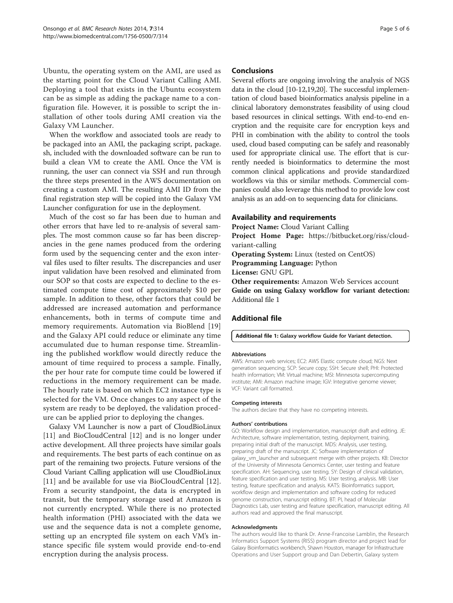<span id="page-4-0"></span>Ubuntu, the operating system on the AMI, are used as the starting point for the Cloud Variant Calling AMI. Deploying a tool that exists in the Ubuntu ecosystem can be as simple as adding the package name to a configuration file. However, it is possible to script the installation of other tools during AMI creation via the Galaxy VM Launcher.

When the workflow and associated tools are ready to be packaged into an AMI, the packaging script, package. sh, included with the downloaded software can be run to build a clean VM to create the AMI. Once the VM is running, the user can connect via SSH and run through the three steps presented in the AWS documentation on creating a custom AMI. The resulting AMI ID from the final registration step will be copied into the Galaxy VM Launcher configuration for use in the deployment.

Much of the cost so far has been due to human and other errors that have led to re-analysis of several samples. The most common cause so far has been discrepancies in the gene names produced from the ordering form used by the sequencing center and the exon interval files used to filter results. The discrepancies and user input validation have been resolved and eliminated from our SOP so that costs are expected to decline to the estimated compute time cost of approximately \$10 per sample. In addition to these, other factors that could be addressed are increased automation and performance enhancements, both in terms of compute time and memory requirements. Automation via BioBlend [[19](#page-5-0)] and the Galaxy API could reduce or eliminate any time accumulated due to human response time. Streamlining the published workflow would directly reduce the amount of time required to process a sample. Finally, the per hour rate for compute time could be lowered if reductions in the memory requirement can be made. The hourly rate is based on which EC2 instance type is selected for the VM. Once changes to any aspect of the system are ready to be deployed, the validation procedure can be applied prior to deploying the changes.

Galaxy VM Launcher is now a part of CloudBioLinux [[11\]](#page-5-0) and BioCloudCentral [[12\]](#page-5-0) and is no longer under active development. All three projects have similar goals and requirements. The best parts of each continue on as part of the remaining two projects. Future versions of the Cloud Variant Calling application will use CloudBioLinux [[11](#page-5-0)] and be available for use via BioCloudCentral [[12](#page-5-0)]. From a security standpoint, the data is encrypted in transit, but the temporary storage used at Amazon is not currently encrypted. While there is no protected health information (PHI) associated with the data we use and the sequence data is not a complete genome, setting up an encrypted file system on each VM's instance specific file system would provide end-to-end encryption during the analysis process.

#### Conclusions

Several efforts are ongoing involving the analysis of NGS data in the cloud [\[10-12,19,20](#page-5-0)]. The successful implementation of cloud based bioinformatics analysis pipeline in a clinical laboratory demonstrates feasibility of using cloud based resources in clinical settings. With end-to-end encryption and the requisite care for encryption keys and PHI in combination with the ability to control the tools used, cloud based computing can be safely and reasonably used for appropriate clinical use. The effort that is currently needed is bioinformatics to determine the most common clinical applications and provide standardized workflows via this or similar methods. Commercial companies could also leverage this method to provide low cost analysis as an add-on to sequencing data for clinicians.

#### Availability and requirements

Project Name: Cloud Variant Calling Project Home Page: [https://bitbucket.org/riss/cloud](https://bitbucket.org/riss/cloud-variant-calling)[variant-calling](https://bitbucket.org/riss/cloud-variant-calling) Operating System: Linux (tested on CentOS) Programming Language: Python License: GNU GPL Other requirements: Amazon Web Services account Guide on using Galaxy workflow for variant detection: Additional file 1

## Additional file

[Additional file 1:](http://www.biomedcentral.com/content/supplementary/1756-0500-7-314-S1.pdf) Galaxy workflow Guide for Variant detection.

#### Abbreviations

AWS: Amazon web services; EC2: AWS Elastic compute cloud; NGS: Next generation sequencing; SCP: Secure copy; SSH: Secure shell; PHI: Protected health information; VM: Virtual machine; MSI: Minnesota supercomputing institute; AMI: Amazon machine image; IGV: Integrative genome viewer; VCF: Variant call formatted.

#### Competing interests

The authors declare that they have no competing interests.

#### Authors' contributions

GO: Workflow design and implementation, manuscript draft and editing. JE: Architecture, software implementation, testing, deployment, training, preparing initial draft of the manuscript. MDS: Analysis, user testing, preparing draft of the manuscript. JC: Software implementation of galaxy\_vm\_launcher and subsequent merge with other projects. KB: Director of the University of Minnesota Genomics Center, user testing and feature specification. AH: Sequencing, user testing. SY: Design of clinical validation, feature specification and user testing. MS: User testing, analysis. MB: User testing, feature specification and analysis. KATS: Bioinformatics support, workflow design and implementation and software coding for reduced genome construction, manuscript editing. BT: PI, head of Molecular Diagnostics Lab, user testing and feature specification, manuscript editing. All authors read and approved the final manuscript.

#### Acknowledgments

The authors would like to thank Dr. Anne-Francoise Lamblin, the Research Informatics Support Systems (RISS) program director and project lead for Galaxy Bioinformatics workbench, Shawn Houston, manager for Infrastructure Operations and User Support group and Dan Debertin, Galaxy system